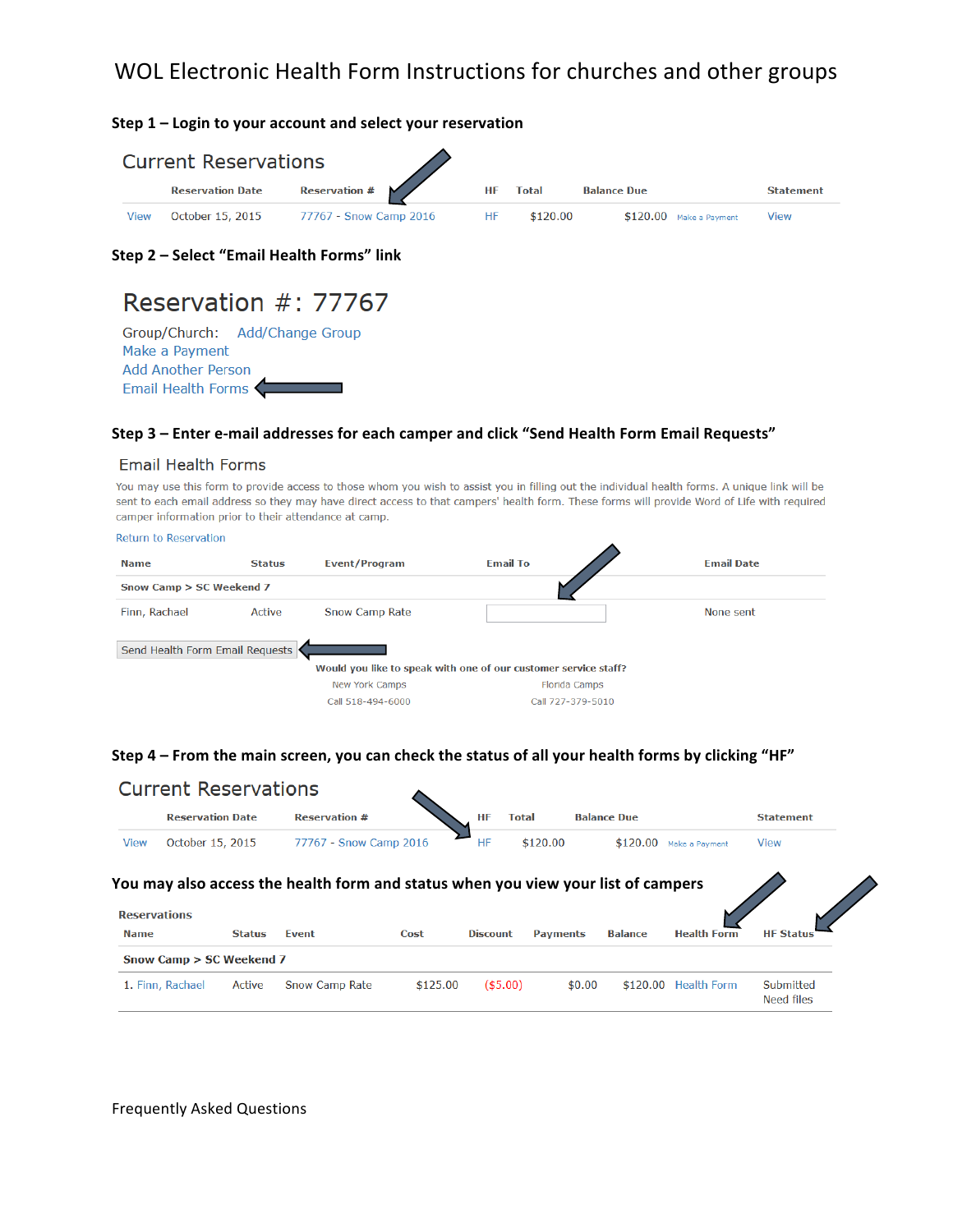# WOL Electronic Health Form Instructions for churches and other groups

**Step 1 - Login to your account and select your reservation** 

| <b>Current Reservations</b> |                         |                        |           |              |                          |                  |  |  |
|-----------------------------|-------------------------|------------------------|-----------|--------------|--------------------------|------------------|--|--|
|                             | <b>Reservation Date</b> | <b>Reservation #</b>   | <b>HF</b> | <b>Total</b> | <b>Balance Due</b>       | <b>Statement</b> |  |  |
| <b>View</b>                 | October 15, 2015        | 77767 - Snow Camp 2016 | HF        | \$120.00     | $$120.00$ Make a Payment | View             |  |  |

**Step 2 – Select "Email Health Forms" link**

# Reservation #: 77767

Group/Church: Add/Change Group Make a Payment **Add Another Person** Email Health Forms

#### Step 3 - Enter e-mail addresses for each camper and click "Send Health Form Email Requests"

#### **Email Health Forms**

You may use this form to provide access to those whom you wish to assist you in filling out the individual health forms. A unique link will be sent to each email address so they may have direct access to that campers' health form. These forms will provide Word of Life with required camper information prior to their attendance at camp.

| <b>Return to Reservation</b>    |               |                       |                                                                 |                   |  |  |  |
|---------------------------------|---------------|-----------------------|-----------------------------------------------------------------|-------------------|--|--|--|
| <b>Name</b>                     | <b>Status</b> | <b>Event/Program</b>  | <b>Email To</b>                                                 | <b>Email Date</b> |  |  |  |
| Snow Camp > SC Weekend 7        |               |                       |                                                                 |                   |  |  |  |
| Finn, Rachael                   | Active        | <b>Snow Camp Rate</b> |                                                                 | None sent         |  |  |  |
| Send Health Form Email Requests |               |                       |                                                                 |                   |  |  |  |
|                                 |               |                       | Would you like to speak with one of our customer service staff? |                   |  |  |  |
|                                 |               | <b>New York Camps</b> | <b>Florida Camps</b>                                            |                   |  |  |  |
|                                 |               | Call 518-494-6000     | Call 727-379-5010                                               |                   |  |  |  |

#### Step 4 – From the main screen, you can check the status of all your health forms by clicking "HF"

|                     | <b>Current Reservations</b> |               |                                                                                   |      |                 |                 |                    |                    |                  |  |
|---------------------|-----------------------------|---------------|-----------------------------------------------------------------------------------|------|-----------------|-----------------|--------------------|--------------------|------------------|--|
|                     | <b>Reservation Date</b>     |               | <b>Reservation #</b>                                                              |      | HF<br>Total     |                 | <b>Balance Due</b> |                    | <b>Statement</b> |  |
| <b>View</b>         | October 15, 2015            |               | 77767 - Snow Camp 2016                                                            |      | HF              | \$120.00        | \$120.00           | Make a Payment     | View             |  |
|                     |                             |               | You may also access the health form and status when you view your list of campers |      |                 |                 |                    |                    |                  |  |
| <b>Reservations</b> |                             |               |                                                                                   |      |                 |                 |                    |                    |                  |  |
| <b>Name</b>         |                             | <b>Status</b> | Event                                                                             | Cost | <b>Discount</b> | <b>Payments</b> | <b>Balance</b>     | <b>Health Form</b> | <b>HF Status</b> |  |
|                     |                             |               |                                                                                   |      |                 |                 |                    |                    |                  |  |
|                     | Snow Camp > SC Weekend 7    |               |                                                                                   |      |                 |                 |                    |                    |                  |  |

Frequently Asked Questions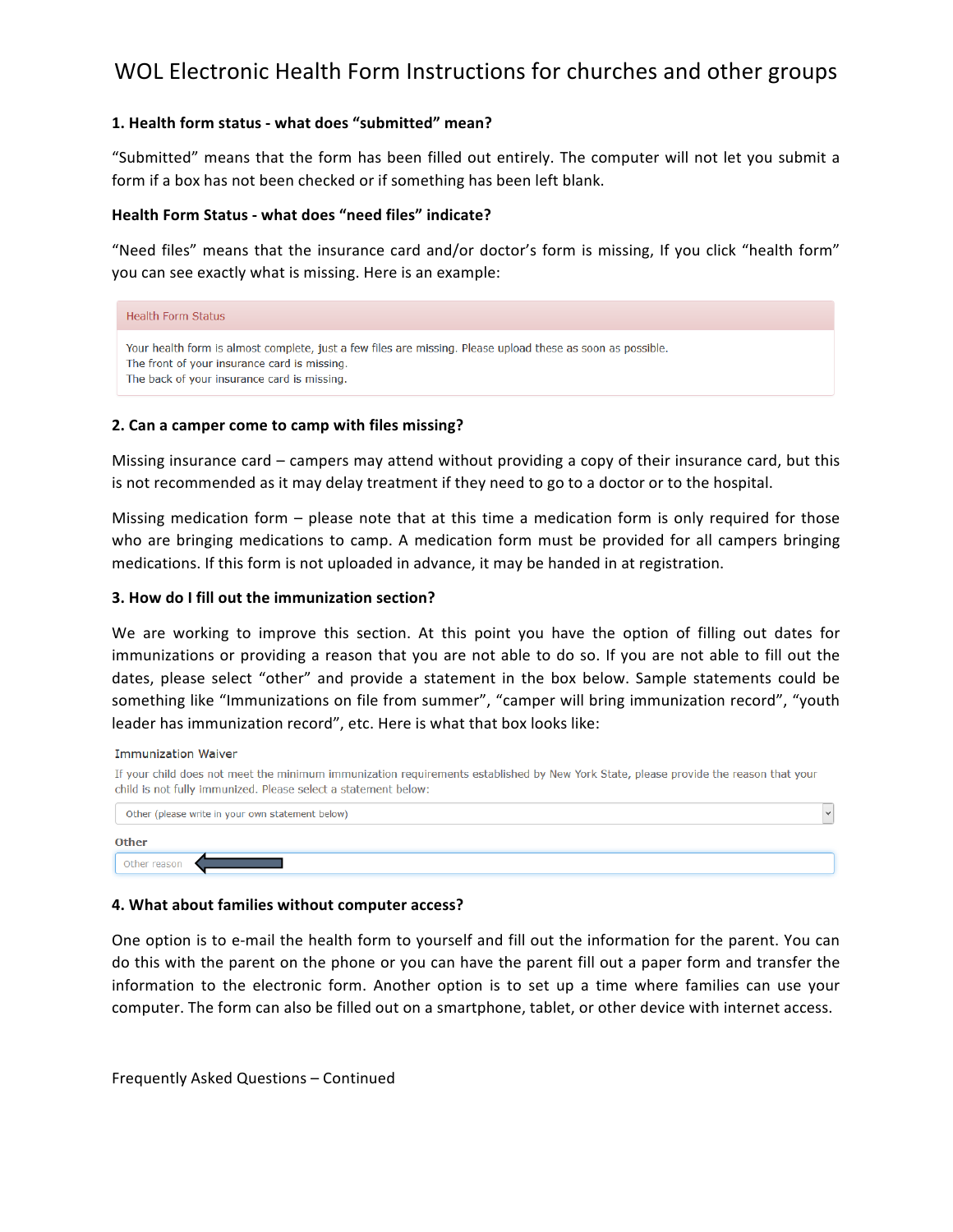# WOL Electronic Health Form Instructions for churches and other groups

#### **1. Health form status - what does "submitted" mean?**

"Submitted" means that the form has been filled out entirely. The computer will not let you submit a form if a box has not been checked or if something has been left blank.

#### Health Form Status - what does "need files" indicate?

"Need files" means that the insurance card and/or doctor's form is missing, If you click "health form" you can see exactly what is missing. Here is an example:

#### **Health Form Status**

```
Your health form is almost complete, just a few files are missing. Please upload these as soon as possible.
The front of your insurance card is missing.
The back of your insurance card is missing.
```
#### **2. Can a camper come to camp with files missing?**

Missing insurance card – campers may attend without providing a copy of their insurance card, but this is not recommended as it may delay treatment if they need to go to a doctor or to the hospital.

Missing medication form – please note that at this time a medication form is only required for those who are bringing medications to camp. A medication form must be provided for all campers bringing medications. If this form is not uploaded in advance, it may be handed in at registration.

#### **3. How do I fill out the immunization section?**

We are working to improve this section. At this point you have the option of filling out dates for immunizations or providing a reason that you are not able to do so. If you are not able to fill out the dates, please select "other" and provide a statement in the box below. Sample statements could be something like "Immunizations on file from summer", "camper will bring immunization record", "youth leader has immunization record", etc. Here is what that box looks like:

**Immunization Waiver** 

If your child does not meet the minimum immunization requirements established by New York State, please provide the reason that your child is not fully immunized. Please select a statement below:

| Other (please write in your own statement below) |  |  |  |  |  |
|--------------------------------------------------|--|--|--|--|--|
| <b>Other</b>                                     |  |  |  |  |  |
| Other reason                                     |  |  |  |  |  |

#### **4. What about families without computer access?**

One option is to e-mail the health form to yourself and fill out the information for the parent. You can do this with the parent on the phone or you can have the parent fill out a paper form and transfer the information to the electronic form. Another option is to set up a time where families can use your computer. The form can also be filled out on a smartphone, tablet, or other device with internet access.

Frequently Asked Questions - Continued